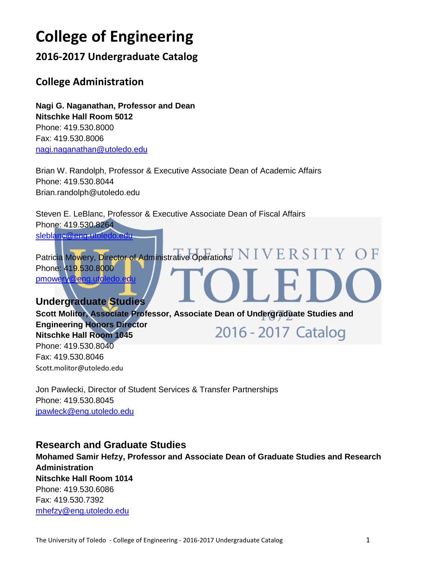# **College of Engineering**

**2016-2017 Undergraduate Catalog**

# **College Administration**

**Nagi G. Naganathan, Professor and Dean Nitschke Hall Room 5012** Phone: 419.530.8000 Fax: 419.530.8006 [nagi.naganathan@utoledo.edu](mailto:nagi.naganathan@utoledo.edu)

Brian W. Randolph, Professor & Executive Associate Dean of Academic Affairs Phone: 419.530.8044 Brian.randolph@utoledo.edu

Steven E. LeBlanc, Professor & Executive Associate Dean of Fiscal Affairs Phone: 419.530.8264 [sleblanc@eng.utoledo.edu](mailto:sleblanc@eng.utoledo.edu)

Patricia Mowery, Director of Administrative Operations NIVERSITY OF Phone: 419.530.8000 [pmowery@eng.utoledo.edu](mailto:pmowery@eng.utoledo.edu)

**Undergraduate Studies Scott Molitor, Associate Professor, Associate Dean of Undergraduate Studies and Engineering Honors Director**  2016 - 2017 Catalog **Nitschke Hall Room 1045**  Phone: 419.530.8040 Fax: 419.530.8046 Scott.molitor@utoledo.edu

Jon Pawlecki, Director of Student Services & Transfer Partnerships Phone: 419.530.8045 [jpawleck@eng.utoledo.edu](mailto:jpawleck@eng.utoledo.edu)

# **Research and Graduate Studies**

**Mohamed Samir Hefzy, Professor and Associate Dean of Graduate Studies and Research Administration Nitschke Hall Room 1014**  Phone: 419.530.6086 Fax: 419.530.7392 [mhefzy@eng.utoledo.edu](mailto:mhefzy@eng.utoledo.edu)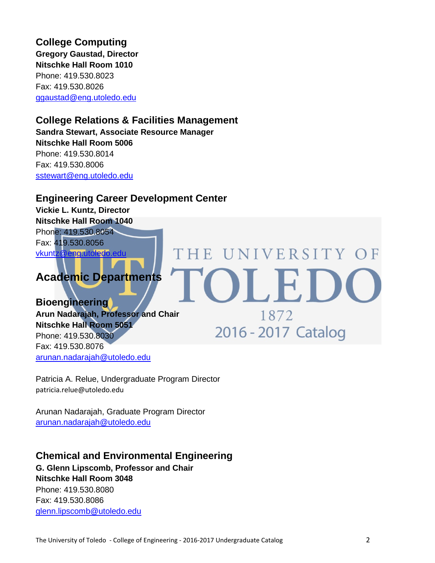**College Computing Gregory Gaustad, Director Nitschke Hall Room 1010**  Phone: 419.530.8023 Fax: 419.530.8026 [ggaustad@eng.utoledo.edu](mailto:ggaustad@eng.utoledo.edu)

# **College Relations & Facilities Management**

**Sandra Stewart, Associate Resource Manager Nitschke Hall Room 5006**  Phone: 419.530.8014 Fax: 419.530.8006 [sstewart@eng.utoledo.edu](mailto:sstewart@eng.utoledo.edu)

# **Engineering Career Development Center**

**Vickie L. Kuntz, Director Nitschke Hall Room 1040** Phone: 419.530.8054 Fax: 419.530.8056 [vkuntz@eng.utoledo.edu](mailto:vkuntz@eng.utoledo.edu)

# **Academic Departments**

**Bioengineering Arun Nadarajah, Professor and Chair Nitschke Hall Room 5051**  Phone: 419.530.8030 Fax: 419.530.8076 [arunan.nadarajah@utoledo.edu](mailto:arunan.nadarajah@utoledo.edu)

Patricia A. Relue, Undergraduate Program Director patricia.relue@utoledo.edu

Arunan Nadarajah, Graduate Program Director [arunan.nadarajah@utoledo.edu](mailto:arunan.nadarajah@utoledo.edu)

# **Chemical and Environmental Engineering**

**G. Glenn Lipscomb, Professor and Chair Nitschke Hall Room 3048**  Phone: 419.530.8080 Fax: 419.530.8086 [glenn.lipscomb@utoledo.edu](mailto:glenn.lipscomb@utoledo.edu)

THE UNIVERSITY OF

OLED

1872

2016 - 2017 Catalog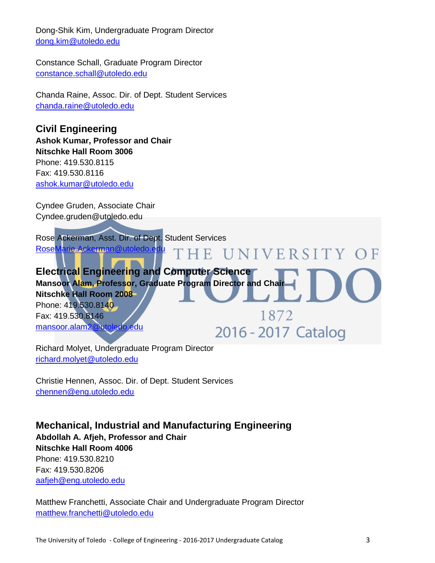Dong-Shik Kim, Undergraduate Program Director [dong.kim@utoledo.edu](mailto:dong.kim@utoledo.edu)

Constance Schall, Graduate Program Director [constance.schall@utoledo.edu](mailto:constance.schall@utoledo.edu)

Chanda Raine, Assoc. Dir. of Dept. Student Services [chanda.raine@utoledo.edu](mailto:chanda.raine@utoledo.edu)

**Civil Engineering Ashok Kumar, Professor and Chair Nitschke Hall Room 3006**  Phone: 419.530.8115 Fax: 419.530.8116 [ashok.kumar@utoledo.edu](mailto:ashok.kumar@utoledo.edu)

Cyndee Gruden, Associate Chair Cyndee.gruden@utoledo.edu

Rose Ackerman, Asst. Dir. of Dept. Student Services [RoseMarie.Ackerman@utoledo.edu](mailto:RoseMarie.Ackerman@utoledo.edu) **HE UNIVERSITY OF** 

**Electrical Engineering and Computer Science Mansoor Alam, Professor, Graduate Program Director and Chair Nitschke Hall Room 2008**  Phone: 419.530.8140 1872 Fax: 419.530.8146 [mansoor.alam2@utoledo.edu](mailto:mansoor.alam2@utoledo.edu) 2016 - 2017 Catalog

Richard Molyet, Undergraduate Program Director [richard.molyet@utoledo.edu](mailto:richard.molyet@utoledo.edu)

Christie Hennen, Assoc. Dir. of Dept. Student Services [chennen@eng.utoledo.edu](mailto:chennen@eng.utoledo.edu)

**Mechanical, Industrial and Manufacturing Engineering Abdollah A. Afjeh, Professor and Chair Nitschke Hall Room 4006**  Phone: 419.530.8210 Fax: 419.530.8206 [aafjeh@eng.utoledo.edu](mailto:aafjeh@eng.utoledo.edu)

Matthew Franchetti, Associate Chair and Undergraduate Program Director [matthew.franchetti@utoledo.edu](mailto:matthew.franchetti@utoledo.edu)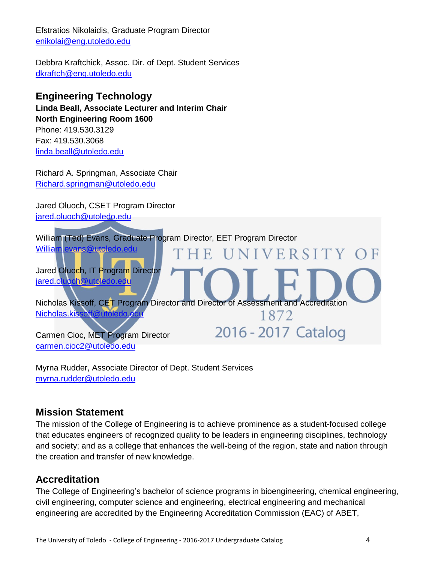Efstratios Nikolaidis, Graduate Program Director [enikolai@eng.utoledo.edu](mailto:enikolai@eng.utoledo.edu)

Debbra Kraftchick, Assoc. Dir. of Dept. Student Services [dkraftch@eng.utoledo.edu](mailto:dkraftch@eng.utoledo.edu)

# **Engineering Technology**

**Linda Beall, Associate Lecturer and Interim Chair North Engineering Room 1600**  Phone: 419.530.3129 Fax: 419.530.3068

linda.beall@utoledo.edu

Richard A. Springman, Associate Chair [Richard.springman@utoledo.edu](mailto:Richard.springman@utoledo.edu)

Jared Oluoch, CSET Program Director jared.oluoch@utoledo.edu



Myrna Rudder, Associate Director of Dept. Student Services [myrna.rudder@utoledo.edu](mailto:myrna.rudder@utoledo.edu)

# **Mission Statement**

The mission of the College of Engineering is to achieve prominence as a student-focused college that educates engineers of recognized quality to be leaders in engineering disciplines, technology and society; and as a college that enhances the well-being of the region, state and nation through the creation and transfer of new knowledge.

# **Accreditation**

The College of Engineering's bachelor of science programs in bioengineering, chemical engineering, civil engineering, computer science and engineering, electrical engineering and mechanical engineering are accredited by the Engineering Accreditation Commission (EAC) of ABET,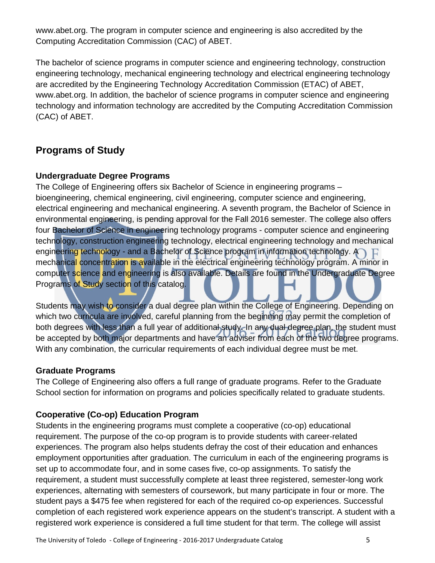www.abet.org. The program in computer science and engineering is also accredited by the Computing Accreditation Commission (CAC) of ABET.

The bachelor of science programs in computer science and engineering technology, construction engineering technology, mechanical engineering technology and electrical engineering technology are accredited by the Engineering Technology Accreditation Commission (ETAC) of ABET, www.abet.org. In addition, the bachelor of science programs in computer science and engineering technology and information technology are accredited by the Computing Accreditation Commission (CAC) of ABET.

# **Programs of Study**

### **Undergraduate Degree Programs**

The College of Engineering offers six Bachelor of Science in engineering programs – bioengineering, chemical engineering, civil engineering, computer science and engineering, electrical engineering and mechanical engineering. A seventh program, the Bachelor of Science in environmental engineering, is pending approval for the Fall 2016 semester. The college also offers four Bachelor of Science in engineering technology programs - computer science and engineering technology, construction engineering technology, electrical engineering technology and mechanical engineering technology - and a Bachelor of Science program in information technology.  $\bigcap_{i=1}^{\infty}$ mechanical concentration is available in the electrical engineering technology program. A minor in computer science and engineering is also available. Details are found in the Undergraduate Degree Programs of Study section of this catalog.

Students may wish to consider a dual degree plan within the College of Engineering. Depending on which two curricula are involved, careful planning from the beginning may permit the completion of both degrees with less than a full year of additional study. In any dual degree plan, the student must be accepted by both major departments and have an adviser from each of the two degree programs. With any combination, the curricular requirements of each individual degree must be met.

### **Graduate Programs**

The College of Engineering also offers a full range of graduate programs. Refer to the Graduate School section for information on programs and policies specifically related to graduate students.

### **Cooperative (Co-op) Education Program**

Students in the engineering programs must complete a cooperative (co-op) educational requirement. The purpose of the co-op program is to provide students with career-related experiences. The program also helps students defray the cost of their education and enhances employment opportunities after graduation. The curriculum in each of the engineering programs is set up to accommodate four, and in some cases five, co-op assignments. To satisfy the requirement, a student must successfully complete at least three registered, semester-long work experiences, alternating with semesters of coursework, but many participate in four or more. The student pays a \$475 fee when registered for each of the required co-op experiences. Successful completion of each registered work experience appears on the student's transcript. A student with a registered work experience is considered a full time student for that term. The college will assist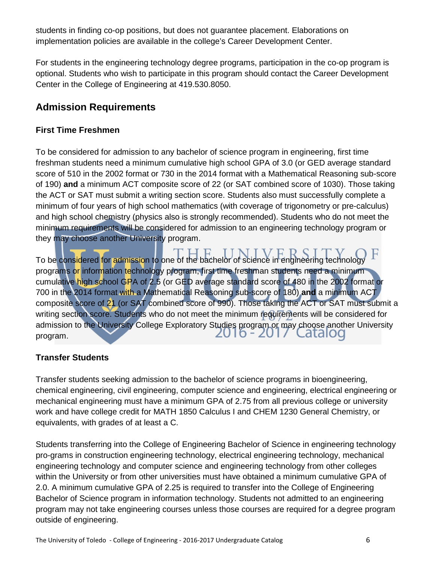students in finding co-op positions, but does not guarantee placement. Elaborations on implementation policies are available in the college's Career Development Center.

For students in the engineering technology degree programs, participation in the co-op program is optional. Students who wish to participate in this program should contact the Career Development Center in the College of Engineering at 419.530.8050.

# **Admission Requirements**

# **First Time Freshmen**

To be considered for admission to any bachelor of science program in engineering, first time freshman students need a minimum cumulative high school GPA of 3.0 (or GED average standard score of 510 in the 2002 format or 730 in the 2014 format with a Mathematical Reasoning sub-score of 190) **and** a minimum ACT composite score of 22 (or SAT combined score of 1030). Those taking the ACT or SAT must submit a writing section score. Students also must successfully complete a minimum of four years of high school mathematics (with coverage of trigonometry or pre-calculus) and high school chemistry (physics also is strongly recommended). Students who do not meet the minimum requirements will be considered for admission to an engineering technology program or they may choose another University program.

To be considered for admission to one of the bachelor of science in engineering technology programs or information technology program, first time freshman students need a minimum cumulative high school GPA of 2.5 (or GED average standard score of 480 in the 2002 format or 700 in the 2014 format with a Mathematical Reasoning sub-score of 180) **and** a minimum ACT composite score of 21 (or SAT combined score of 990). Those taking the ACT or SAT must submit a writing section score. Students who do not meet the minimum requirements will be considered for admission to the University College Exploratory Studies program or may choose another University 2010 - 2017 Latalog program.

# **Transfer Students**

Transfer students seeking admission to the bachelor of science programs in bioengineering, chemical engineering, civil engineering, computer science and engineering, electrical engineering or mechanical engineering must have a minimum GPA of 2.75 from all previous college or university work and have college credit for MATH 1850 Calculus I and CHEM 1230 General Chemistry, or equivalents, with grades of at least a C.

Students transferring into the College of Engineering Bachelor of Science in engineering technology pro-grams in construction engineering technology, electrical engineering technology, mechanical engineering technology and computer science and engineering technology from other colleges within the University or from other universities must have obtained a minimum cumulative GPA of 2.0. A minimum cumulative GPA of 2.25 is required to transfer into the College of Engineering Bachelor of Science program in information technology. Students not admitted to an engineering program may not take engineering courses unless those courses are required for a degree program outside of engineering.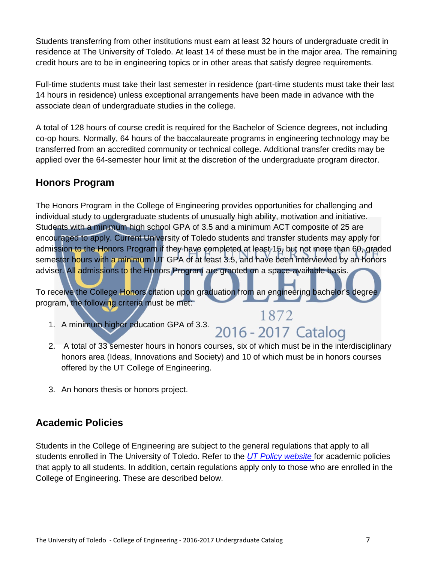Students transferring from other institutions must earn at least 32 hours of undergraduate credit in residence at The University of Toledo. At least 14 of these must be in the major area. The remaining credit hours are to be in engineering topics or in other areas that satisfy degree requirements.

Full-time students must take their last semester in residence (part-time students must take their last 14 hours in residence) unless exceptional arrangements have been made in advance with the associate dean of undergraduate studies in the college.

A total of 128 hours of course credit is required for the Bachelor of Science degrees, not including co-op hours. Normally, 64 hours of the baccalaureate programs in engineering technology may be transferred from an accredited community or technical college. Additional transfer credits may be applied over the 64-semester hour limit at the discretion of the undergraduate program director.

# **Honors Program**

The Honors Program in the College of Engineering provides opportunities for challenging and individual study to undergraduate students of unusually high ability, motivation and initiative. Students with a minimum high school GPA of 3.5 and a minimum ACT composite of 25 are encouraged to apply. Current University of Toledo students and transfer students may apply for admission to the Honors Program if they have completed at least 15, but not more than 60, graded semester hours with a minimum UT GPA of at least 3.5, and have been interviewed by an honors adviser. All admissions to the Honors Program are granted on a space-available basis.

To receive the College Honors citation upon graduation from an engineering bachelor's degree program, the following criteria must be met:

- 1. A minimum higher education GPA of 3.3. 2016 2017 Catalog
- 2. A total of 33 semester hours in honors courses, six of which must be in the interdisciplinary honors area (Ideas, Innovations and Society) and 10 of which must be in honors courses offered by the UT College of Engineering.

1872

3. An honors thesis or honors project.

# **Academic Policies**

Students in the College of Engineering are subject to the general regulations that apply to all students enrolled in The University of Toledo. Refer to the *[UT Policy website](http://www.utoledo.edu/policies/)* for academic policies that apply to all students. In addition, certain regulations apply only to those who are enrolled in the College of Engineering. These are described below.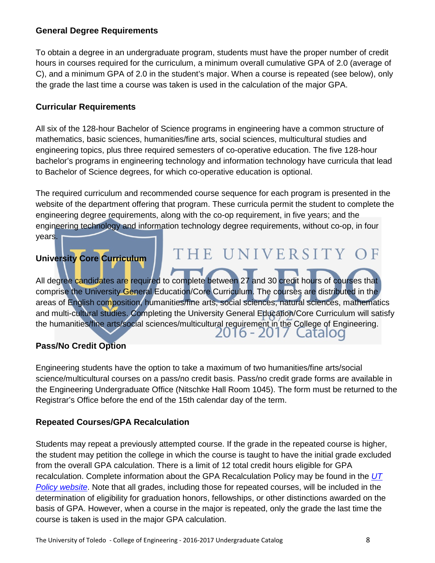### **General Degree Requirements**

To obtain a degree in an undergraduate program, students must have the proper number of credit hours in courses required for the curriculum, a minimum overall cumulative GPA of 2.0 (average of C), and a minimum GPA of 2.0 in the student's major. When a course is repeated (see below), only the grade the last time a course was taken is used in the calculation of the major GPA.

### **Curricular Requirements**

All six of the 128-hour Bachelor of Science programs in engineering have a common structure of mathematics, basic sciences, humanities/fine arts, social sciences, multicultural studies and engineering topics, plus three required semesters of co-operative education. The five 128-hour bachelor's programs in engineering technology and information technology have curricula that lead to Bachelor of Science degrees, for which co-operative education is optional.

The required curriculum and recommended course sequence for each program is presented in the website of the department offering that program. These curricula permit the student to complete the engineering degree requirements, along with the co-op requirement, in five years; and the engineering technology and information technology degree requirements, without co-op, in four years.

THE UNIVERSITY OF

# **University Core Curriculum**

All degree candidates are required to complete between 27 and 30 credit hours of courses that comprise the University General Education/Core Curriculum. The courses are distributed in the areas of English composition, humanities/fine arts, social sciences, natural sciences, mathematics and multi-cultural studies. Completing the University General Education/Core Curriculum will satisfy the humanities/fine arts/social sciences/multicultural requirement in the College of Engineering. 2016 - 2017 Latalod

# **Pass/No Credit Option**

Engineering students have the option to take a maximum of two humanities/fine arts/social science/multicultural courses on a pass/no credit basis. Pass/no credit grade forms are available in the Engineering Undergraduate Office (Nitschke Hall Room 1045). The form must be returned to the Registrar's Office before the end of the 15th calendar day of the term.

# **Repeated Courses/GPA Recalculation**

Students may repeat a previously attempted course. If the grade in the repeated course is higher, the student may petition the college in which the course is taught to have the initial grade excluded from the overall GPA calculation. There is a limit of 12 total credit hours eligible for GPA recalculation. Complete information about the GPA Recalculation Policy may be found in the *[UT](http://www.utoledo.edu/policies/)  [Policy website](http://www.utoledo.edu/policies/)*. Note that all grades, including those for repeated courses, will be included in the determination of eligibility for graduation honors, fellowships, or other distinctions awarded on the basis of GPA. However, when a course in the major is repeated, only the grade the last time the course is taken is used in the major GPA calculation.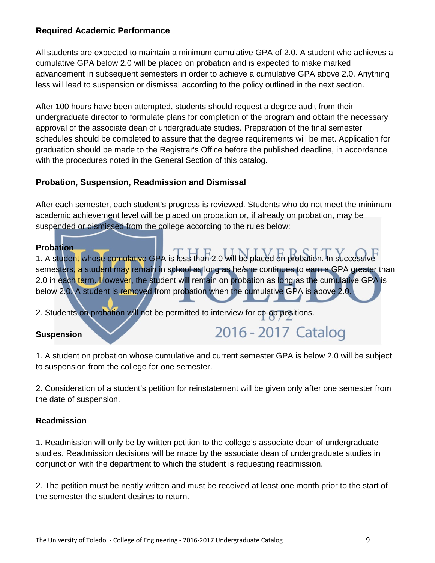### **Required Academic Performance**

All students are expected to maintain a minimum cumulative GPA of 2.0. A student who achieves a cumulative GPA below 2.0 will be placed on probation and is expected to make marked advancement in subsequent semesters in order to achieve a cumulative GPA above 2.0. Anything less will lead to suspension or dismissal according to the policy outlined in the next section.

After 100 hours have been attempted, students should request a degree audit from their undergraduate director to formulate plans for completion of the program and obtain the necessary approval of the associate dean of undergraduate studies. Preparation of the final semester schedules should be completed to assure that the degree requirements will be met. Application for graduation should be made to the Registrar's Office before the published deadline, in accordance with the procedures noted in the General Section of this catalog.

### **Probation, Suspension, Readmission and Dismissal**

After each semester, each student's progress is reviewed. Students who do not meet the minimum academic achievement level will be placed on probation or, if already on probation, may be suspended or dismissed from the college according to the rules below:

#### **Probation**

1. A student whose cumulative GPA is less than 2.0 will be placed on probation. In successive semesters, a student may remain in school as long as he/she continues to earn a GPA greater than 2.0 in each term. However, the student will remain on probation as long as the cumulative GPA is below 2.0. A student is removed from probation when the cumulative GPA is above 2.0.

2. Students on probation will not be permitted to interview for co-op positions.

#### **Suspension**

2016 - 2017 Catalog

1. A student on probation whose cumulative and current semester GPA is below 2.0 will be subject to suspension from the college for one semester.

2. Consideration of a student's petition for reinstatement will be given only after one semester from the date of suspension.

#### **Readmission**

1. Readmission will only be by written petition to the college's associate dean of undergraduate studies. Readmission decisions will be made by the associate dean of undergraduate studies in conjunction with the department to which the student is requesting readmission.

2. The petition must be neatly written and must be received at least one month prior to the start of the semester the student desires to return.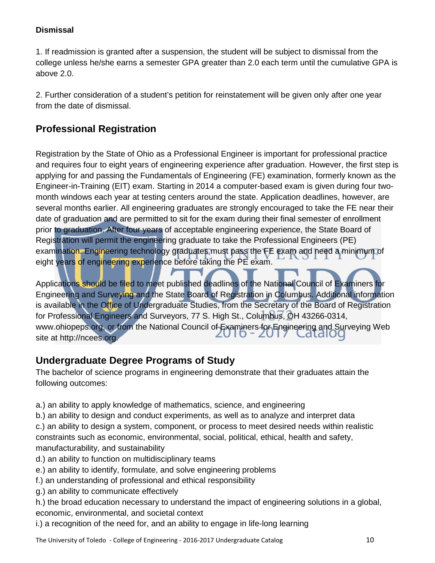### **Dismissal**

1. If readmission is granted after a suspension, the student will be subject to dismissal from the college unless he/she earns a semester GPA greater than 2.0 each term until the cumulative GPA is above 2.0.

2. Further consideration of a student's petition for reinstatement will be given only after one year from the date of dismissal.

# **Professional Registration**

Registration by the State of Ohio as a Professional Engineer is important for professional practice and requires four to eight years of engineering experience after graduation. However, the first step is applying for and passing the Fundamentals of Engineering (FE) examination, formerly known as the Engineer-in-Training (EIT) exam. Starting in 2014 a computer-based exam is given during four twomonth windows each year at testing centers around the state. Application deadlines, however, are several months earlier. All engineering graduates are strongly encouraged to take the FE near their date of graduation and are permitted to sit for the exam during their final semester of enrollment prior to graduation. After four years of acceptable engineering experience, the State Board of Registration will permit the engineering graduate to take the Professional Engineers (PE) examination. Engineering technology graduates must pass the FE exam and need a minimum of eight years of engineering experience before taking the PE exam.

Applications should be filed to meet published deadlines of the National Council of Examiners for Engineering and Surveying and the State Board of Registration in Columbus. Additional information is available in the Office of Undergraduate Studies, from the Secretary of the Board of Registration for Professional Engineers and Surveyors, 77 S. High St., Columbus, OH 43266-0314, www.ohiopeps.org, or from the National Council of Examiners for Engineering and Surveying Web site at [http://ncees.org.](http://ncees.org/)

# **Undergraduate Degree Programs of Study**

The bachelor of science programs in engineering demonstrate that their graduates attain the following outcomes:

- a.) an ability to apply knowledge of mathematics, science, and engineering
- b.) an ability to design and conduct experiments, as well as to analyze and interpret data c.) an ability to design a system, component, or process to meet desired needs within realistic constraints such as economic, environmental, social, political, ethical, health and safety,

manufacturability, and sustainability

- d.) an ability to function on multidisciplinary teams
- e.) an ability to identify, formulate, and solve engineering problems
- f.) an understanding of professional and ethical responsibility
- g.) an ability to communicate effectively

h.) the broad education necessary to understand the impact of engineering solutions in a global, economic, environmental, and societal context

i.) a recognition of the need for, and an ability to engage in life-long learning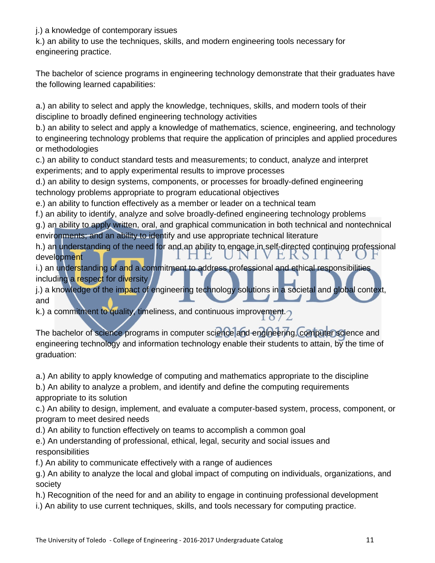j.) a knowledge of contemporary issues

k.) an ability to use the techniques, skills, and modern engineering tools necessary for engineering practice.

The bachelor of science programs in engineering technology demonstrate that their graduates have the following learned capabilities:

a.) an ability to select and apply the knowledge, techniques, skills, and modern tools of their discipline to broadly defined engineering technology activities

b.) an ability to select and apply a knowledge of mathematics, science, engineering, and technology to engineering technology problems that require the application of principles and applied procedures or methodologies

c.) an ability to conduct standard tests and measurements; to conduct, analyze and interpret experiments; and to apply experimental results to improve processes

d.) an ability to design systems, components, or processes for broadly-defined engineering technology problems appropriate to program educational objectives

e.) an ability to function effectively as a member or leader on a technical team

f.) an ability to identify, analyze and solve broadly-defined engineering technology problems

g.) an ability to apply written, oral, and graphical communication in both technical and nontechnical environments; and an ability to identify and use appropriate technical literature

h.) an understanding of the need for and an ability to engage in self-directed continuing professional VERSII development ПE.  $\sqrt{N}$ 

i.) an understanding of and a commitment to address professional and ethical responsibilities including a respect for diversity

j.) a knowledge of the impact of engineering technology solutions in a societal and global context, and

and and anti-

The bachelor of science programs in computer science and engineering, computer science and engineering technology and information technology enable their students to attain, by the time of graduation:

a.) An ability to apply knowledge of computing and mathematics appropriate to the discipline

b.) An ability to analyze a problem, and identify and define the computing requirements appropriate to its solution

c.) An ability to design, implement, and evaluate a computer-based system, process, component, or program to meet desired needs

d.) An ability to function effectively on teams to accomplish a common goal

e.) An understanding of professional, ethical, legal, security and social issues and responsibilities

f.) An ability to communicate effectively with a range of audiences

g.) An ability to analyze the local and global impact of computing on individuals, organizations, and society

h.) Recognition of the need for and an ability to engage in continuing professional development

i.) An ability to use current techniques, skills, and tools necessary for computing practice.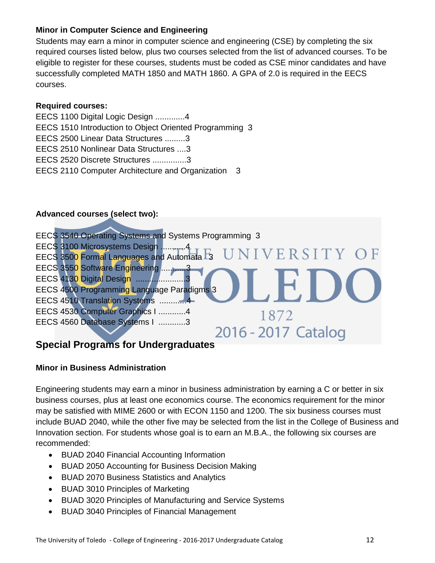### **Minor in Computer Science and Engineering**

Students may earn a minor in computer science and engineering (CSE) by completing the six required courses listed below, plus two courses selected from the list of advanced courses. To be eligible to register for these courses, students must be coded as CSE minor candidates and have successfully completed MATH 1850 and MATH 1860. A GPA of 2.0 is required in the EECS courses.

### **Required courses:**

EECS 1100 Digital Logic Design .............4 EECS 1510 Introduction to Object Oriented Programming 3 EECS 2500 Linear Data Structures .........3 EECS 2510 Nonlinear Data Structures ....3 EECS 2520 Discrete Structures ...............3 EECS 2110 Computer Architecture and Organization 3

### **Advanced courses (select two):**



# **Special Programs for Undergraduates**

### **Minor in Business Administration**

Engineering students may earn a minor in business administration by earning a C or better in six business courses, plus at least one economics course. The economics requirement for the minor may be satisfied with MIME 2600 or with ECON 1150 and 1200. The six business courses must include BUAD 2040, while the other five may be selected from the list in the College of Business and Innovation section. For students whose goal is to earn an M.B.A., the following six courses are recommended:

- BUAD 2040 Financial Accounting Information
- BUAD 2050 Accounting for Business Decision Making
- BUAD 2070 Business Statistics and Analytics
- BUAD 3010 Principles of Marketing
- BUAD 3020 Principles of Manufacturing and Service Systems
- BUAD 3040 Principles of Financial Management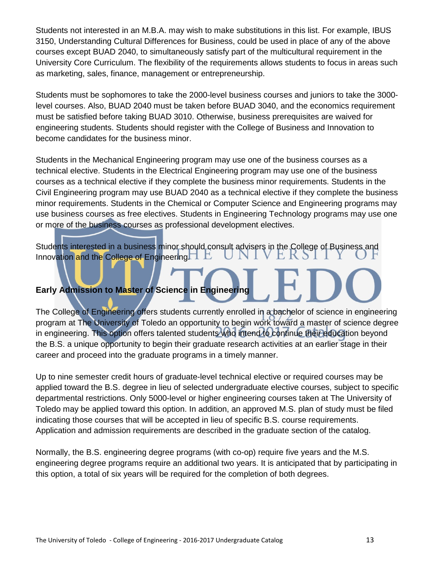Students not interested in an M.B.A. may wish to make substitutions in this list. For example, IBUS 3150, Understanding Cultural Differences for Business, could be used in place of any of the above courses except BUAD 2040, to simultaneously satisfy part of the multicultural requirement in the University Core Curriculum. The flexibility of the requirements allows students to focus in areas such as marketing, sales, finance, management or entrepreneurship.

Students must be sophomores to take the 2000-level business courses and juniors to take the 3000 level courses. Also, BUAD 2040 must be taken before BUAD 3040, and the economics requirement must be satisfied before taking BUAD 3010. Otherwise, business prerequisites are waived for engineering students. Students should register with the College of Business and Innovation to become candidates for the business minor.

Students in the Mechanical Engineering program may use one of the business courses as a technical elective. Students in the Electrical Engineering program may use one of the business courses as a technical elective if they complete the business minor requirements. Students in the Civil Engineering program may use BUAD 2040 as a technical elective if they complete the business minor requirements. Students in the Chemical or Computer Science and Engineering programs may use business courses as free electives. Students in Engineering Technology programs may use one or more of the business courses as professional development electives.

Students interested in a business minor should consult advisers in the College of Business and Innovation and the College of Engineering.  $\Box$   $\Box$ 

# **Early Admission to Master of Science in Engineering**

The College of Engineering offers students currently enrolled in a bachelor of science in engineering program at The University of Toledo an opportunity to begin work toward a master of science degree in engineering. This option offers talented students who intend to continue their education beyond the B.S. a unique opportunity to begin their graduate research activities at an earlier stage in their career and proceed into the graduate programs in a timely manner.

Up to nine semester credit hours of graduate-level technical elective or required courses may be applied toward the B.S. degree in lieu of selected undergraduate elective courses, subject to specific departmental restrictions. Only 5000-level or higher engineering courses taken at The University of Toledo may be applied toward this option. In addition, an approved M.S. plan of study must be filed indicating those courses that will be accepted in lieu of specific B.S. course requirements. Application and admission requirements are described in the graduate section of the catalog.

Normally, the B.S. engineering degree programs (with co-op) require five years and the M.S. engineering degree programs require an additional two years. It is anticipated that by participating in this option, a total of six years will be required for the completion of both degrees.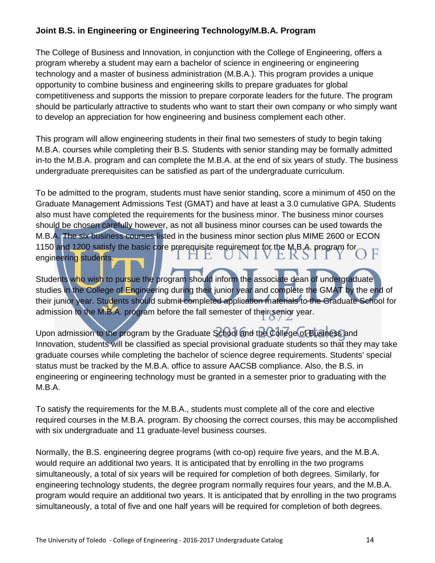# **Joint B.S. in Engineering or Engineering Technology/M.B.A. Program**

The College of Business and Innovation, in conjunction with the College of Engineering, offers a program whereby a student may earn a bachelor of science in engineering or engineering technology and a master of business administration (M.B.A.). This program provides a unique opportunity to combine business and engineering skills to prepare graduates for global competitiveness and supports the mission to prepare corporate leaders for the future. The program should be particularly attractive to students who want to start their own company or who simply want to develop an appreciation for how engineering and business complement each other.

This program will allow engineering students in their final two semesters of study to begin taking M.B.A. courses while completing their B.S. Students with senior standing may be formally admitted in-to the M.B.A. program and can complete the M.B.A. at the end of six years of study. The business undergraduate prerequisites can be satisfied as part of the undergraduate curriculum.

To be admitted to the program, students must have senior standing, score a minimum of 450 on the Graduate Management Admissions Test (GMAT) and have at least a 3.0 cumulative GPA. Students also must have completed the requirements for the business minor. The business minor courses should be chosen carefully however, as not all business minor courses can be used towards the M.B.A. The six business courses listed in the business minor section plus MIME 2600 or ECON 1150 and 1200 satisfy the basic core prerequisite requirement for the M.B.A. program for VEKSI engineering students. г.  $\mathbf{N}$ 

Students who wish to pursue the program should inform the associate dean of undergraduate studies in the College of Engineering during their junior year and complete the GMAT by the end of their junior year. Students should submit completed application materials to the Graduate School for admission to the M.B.A. program before the fall semester of their senior year.

Upon admission to the program by the Graduate School and the College of Business and Innovation, students will be classified as special provisional graduate students so that they may take graduate courses while completing the bachelor of science degree requirements. Students' special status must be tracked by the M.B.A. office to assure AACSB compliance. Also, the B.S. in engineering or engineering technology must be granted in a semester prior to graduating with the M.B.A.

To satisfy the requirements for the M.B.A., students must complete all of the core and elective required courses in the M.B.A. program. By choosing the correct courses, this may be accomplished with six undergraduate and 11 graduate-level business courses.

Normally, the B.S. engineering degree programs (with co-op) require five years, and the M.B.A. would require an additional two years. It is anticipated that by enrolling in the two programs simultaneously, a total of six years will be required for completion of both degrees. Similarly, for engineering technology students, the degree program normally requires four years, and the M.B.A. program would require an additional two years. It is anticipated that by enrolling in the two programs simultaneously, a total of five and one half years will be required for completion of both degrees.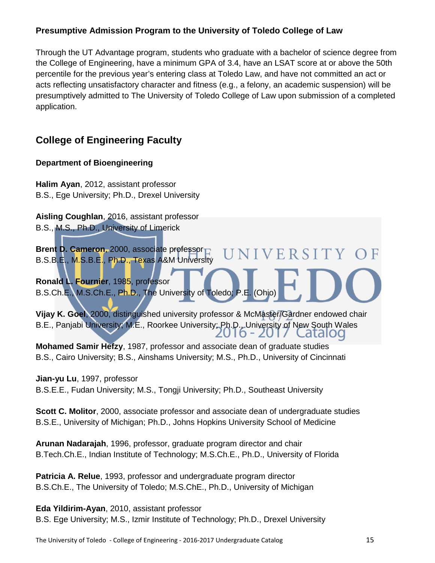# **Presumptive Admission Program to the University of Toledo College of Law**

Through the UT Advantage program, students who graduate with a bachelor of science degree from the College of Engineering, have a minimum GPA of 3.4, have an LSAT score at or above the 50th percentile for the previous year's entering class at Toledo Law, and have not committed an act or acts reflecting unsatisfactory character and fitness (e.g., a felony, an academic suspension) will be presumptively admitted to The University of Toledo College of Law upon submission of a completed application.

# **College of Engineering Faculty**

### **Department of Bioengineering**

**Halim Ayan**, 2012, assistant professor B.S., Ege University; Ph.D., Drexel University

**Aisling Coughlan**, 2016, assistant professor B.S., M.S., Ph.D., University of Limerick

**Brent D. Cameron**, 2000, associate professor B.S.B.E., M.S.B.E., Ph.D., Texas A&M University

**Ronald L. Fournier**, 1985, professor B.S.Ch.E., M.S.Ch.E., Ph.D., The University of Toledo; P.E. (Ohio)

**Vijay K. Goel**, 2000, distinguished university professor & McMaster/Gardner endowed chair B.E., Panjabi University; M.E., Roorkee University; Ph.D., University of New South Wales 2010 - 2017 LatalOQ

NIVERSITY OF

**Mohamed Samir Hefzy**, 1987, professor and associate dean of graduate studies B.S., Cairo University; B.S., Ainshams University; M.S., Ph.D., University of Cincinnati

**Jian-yu Lu**, 1997, professor B.S.E.E., Fudan University; M.S., Tongji University; Ph.D., Southeast University

**Scott C. Molitor**, 2000, associate professor and associate dean of undergraduate studies B.S.E., University of Michigan; Ph.D., Johns Hopkins University School of Medicine

**Arunan Nadarajah**, 1996, professor, graduate program director and chair B.Tech.Ch.E., Indian Institute of Technology; M.S.Ch.E., Ph.D., University of Florida

**Patricia A. Relue**, 1993, professor and undergraduate program director B.S.Ch.E., The University of Toledo; M.S.ChE., Ph.D., University of Michigan

**Eda Yildirim-Ayan**, 2010, assistant professor B.S. Ege University; M.S., Izmir Institute of Technology; Ph.D., Drexel University

The University of Toledo - College of Engineering - 2016-2017 Undergraduate Catalog 15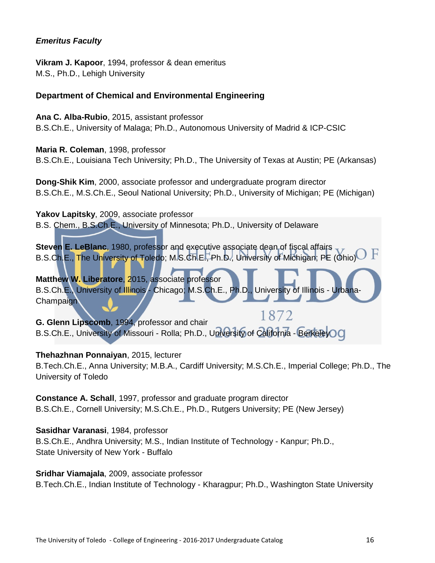### *Emeritus Faculty*

**Vikram J. Kapoor**, 1994, professor & dean emeritus M.S., Ph.D., Lehigh University

### **Department of Chemical and Environmental Engineering**

**Ana C. Alba-Rubio**, 2015, assistant professor B.S.Ch.E., University of Malaga; Ph.D., Autonomous University of Madrid & ICP-CSIC

**Maria R. Coleman**, 1998, professor B.S.Ch.E., Louisiana Tech University; Ph.D., The University of Texas at Austin; PE (Arkansas)

**Dong-Shik Kim**, 2000, associate professor and undergraduate program director B.S.Ch.E., M.S.Ch.E., Seoul National University; Ph.D., University of Michigan; PE (Michigan)

**Yakov Lapitsky**, 2009, associate professor B.S. Chem., B.S.Ch.E., University of Minnesota; Ph.D., University of Delaware

**Steven E. LeBlanc**, 1980, professor and executive associate dean of fiscal affairs B.S.Ch.E., The University of Toledo; M.S.Ch.E., Ph.D., University of Michigan; PE (Ohio)

**Matthew W. Liberatore**, 2015, associate professor B.S.Ch.E., University of Illinois - Chicago; M.S.Ch.E., Ph.D., University of Illinois - Urbana-**Champaign** 

1872 **G. Glenn Lipscomb**, 1994, professor and chair B.S.Ch.E., University of Missouri - Rolla; Ph.D., University of California - BerkeleyOC

#### **Thehazhnan Ponnaiyan**, 2015, lecturer

B.Tech.Ch.E., Anna University; M.B.A., Cardiff University; M.S.Ch.E., Imperial College; Ph.D., The University of Toledo

**Constance A. Schall**, 1997, professor and graduate program director B.S.Ch.E., Cornell University; M.S.Ch.E., Ph.D., Rutgers University; PE (New Jersey)

**Sasidhar Varanasi**, 1984, professor B.S.Ch.E., Andhra University; M.S., Indian Institute of Technology - Kanpur; Ph.D., State University of New York - Buffalo

**Sridhar Viamajala**, 2009, associate professor B.Tech.Ch.E., Indian Institute of Technology - Kharagpur; Ph.D., Washington State University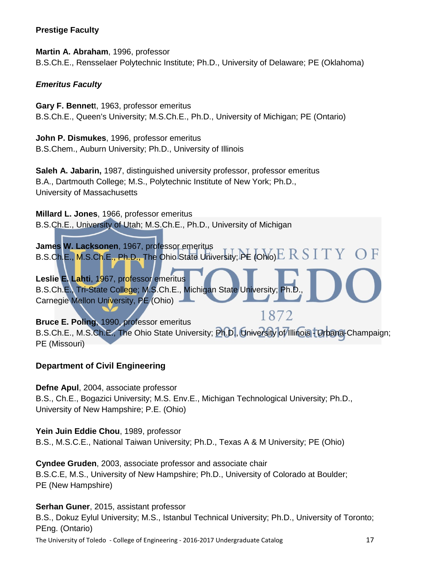#### **Prestige Faculty**

**Martin A. Abraham**, 1996, professor B.S.Ch.E., Rensselaer Polytechnic Institute; Ph.D., University of Delaware; PE (Oklahoma)

### *Emeritus Faculty*

**Gary F. Bennet**t, 1963, professor emeritus B.S.Ch.E., Queen's University; M.S.Ch.E., Ph.D., University of Michigan; PE (Ontario)

**John P. Dismukes**, 1996, professor emeritus B.S.Chem., Auburn University; Ph.D., University of Illinois

**Saleh A. Jabarin,** 1987, distinguished university professor, professor emeritus B.A., Dartmouth College; M.S., Polytechnic Institute of New York; Ph.D., University of Massachusetts

**Millard L. Jones**, 1966, professor emeritus B.S.Ch.E., University of Utah; M.S.Ch.E., Ph.D., University of Michigan

**James W. Lacksonen**, 1967, professor emeritus B.S.Ch.E., M.S.Ch.E., Ph.D., The Ohio State University; PE (Ohio) $\operatorname{E} \operatorname{R} \operatorname{S} \operatorname{I} \operatorname{T} \operatorname{Y}$ 

**Leslie E. Lahti**, 1967, professor emeritus B.S.Ch.E., Tri-State College; M.S.Ch.E., Michigan State University; Ph.D. Carnegie Mellon University, PE (Ohio)

1872 **Bruce E. Poling**, 1990, professor emeritus B.S.Ch.E., M.S.Ch.E., The Ohio State University; Ph.D., University of Illinois - Urbana-Champaign; PE (Missouri)

### **Department of Civil Engineering**

**Defne Apul**, 2004, associate professor B.S., Ch.E., Bogazici University; M.S. Env.E., Michigan Technological University; Ph.D., University of New Hampshire; P.E. (Ohio)

**Yein Juin Eddie Chou**, 1989, professor B.S., M.S.C.E., National Taiwan University; Ph.D., Texas A & M University; PE (Ohio)

**Cyndee Gruden**, 2003, associate professor and associate chair B.S.C.E, M.S., University of New Hampshire; Ph.D., University of Colorado at Boulder; PE (New Hampshire)

The University of Toledo - College of Engineering - 2016-2017 Undergraduate Catalog 17 **Serhan Guner**, 2015, assistant professor B.S., Dokuz Eylul University; M.S., Istanbul Technical University; Ph.D., University of Toronto; PEng. (Ontario)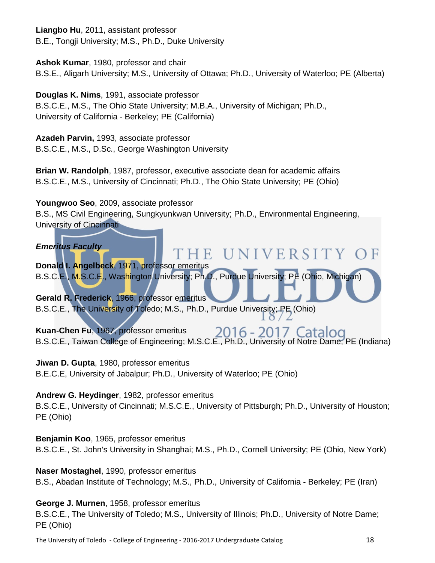**Liangbo Hu**, 2011, assistant professor B.E., Tongji University; M.S., Ph.D., Duke University

**Ashok Kumar**, 1980, professor and chair

B.S.E., Aligarh University; M.S., University of Ottawa; Ph.D., University of Waterloo; PE (Alberta)

**Douglas K. Nims**, 1991, associate professor

B.S.C.E., M.S., The Ohio State University; M.B.A., University of Michigan; Ph.D., University of California - Berkeley; PE (California)

**Azadeh Parvin,** 1993, associate professor

B.S.C.E., M.S., D.Sc., George Washington University

**Brian W. Randolph**, 1987, professor, executive associate dean for academic affairs B.S.C.E., M.S., University of Cincinnati; Ph.D., The Ohio State University; PE (Ohio)

**Youngwoo Seo**, 2009, associate professor B.S., MS Civil Engineering, Sungkyunkwan University; Ph.D., Environmental Engineering, University of Cincinnati

*Emeritus Faculty* 

**Donald I. Angelbeck**, 1971, professor emeritus B.S.C.E., M.S.C.E., Washington University; Ph.D., Purdue University; PE (Ohio, Michigan)

**Gerald R. Frederick**, 1966, professor emeritus B.S.C.E., The University of Toledo; M.S., Ph.D., Purdue University; PE (Ohio)

**Kuan-Chen Fu**, 1967, professor emeritus 2016 - 2017 Catal B.S.C.E., Taiwan College of Engineering; M.S.C.E., Ph.D., University of Notre Dame; PE (Indiana)

IE UNIVERSITY OF

 $\Omega$ 

**Jiwan D. Gupta**, 1980, professor emeritus B.E.C.E, University of Jabalpur; Ph.D., University of Waterloo; PE (Ohio)

### **Andrew G. Heydinger**, 1982, professor emeritus

B.S.C.E., University of Cincinnati; M.S.C.E., University of Pittsburgh; Ph.D., University of Houston; PE (Ohio)

**Benjamin Koo**, 1965, professor emeritus

B.S.C.E., St. John's University in Shanghai; M.S., Ph.D., Cornell University; PE (Ohio, New York)

### **Naser Mostaghel**, 1990, professor emeritus

B.S., Abadan Institute of Technology; M.S., Ph.D., University of California - Berkeley; PE (Iran)

### **George J. Murnen**, 1958, professor emeritus

B.S.C.E., The University of Toledo; M.S., University of Illinois; Ph.D., University of Notre Dame; PE (Ohio)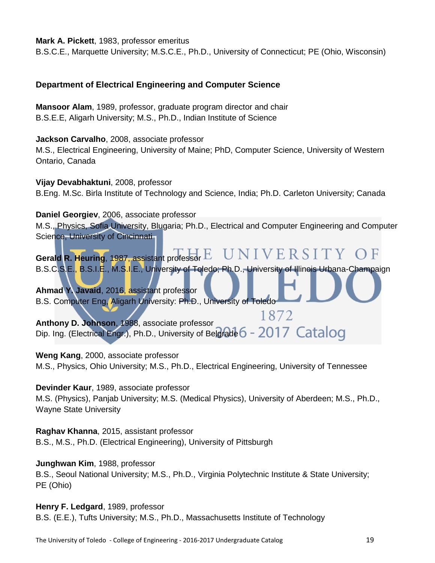#### **Mark A. Pickett**, 1983, professor emeritus

B.S.C.E., Marquette University; M.S.C.E., Ph.D., University of Connecticut; PE (Ohio, Wisconsin)

### **Department of Electrical Engineering and Computer Science**

**Mansoor Alam**, 1989, professor, graduate program director and chair B.S.E.E, Aligarh University; M.S., Ph.D., Indian Institute of Science

**Jackson Carvalho**, 2008, associate professor

M.S., Electrical Engineering, University of Maine; PhD, Computer Science, University of Western Ontario, Canada

**Vijay Devabhaktuni**, 2008, professor B.Eng. M.Sc. Birla Institute of Technology and Science, India; Ph.D. Carleton University; Canada

#### **Daniel Georgiev**, 2006, associate professor

M.S., Physics, Sofia University, Blugaria; Ph.D., Electrical and Computer Engineering and Computer Science, University of Cincinnati

Gerald R. Heuring, 1987, assistant professor E UNIVERSITY OF B.S.C.S.E., B.S.I.E., M.S.I.E., University of Toledo; Ph.D., University of Illinois Urbana-Champaign

**Ahmad Y. Javaid**, 2016, assistant professor B.S. Computer Eng, Aligarh University: Ph.D., University of Toledo

1872 **Anthony D. Johnson**, 1988, associate professor Dip. Ing. (Electrical Engr.), Ph.D., University of Belgrade 6 - 2017 Catalog

**Weng Kang**, 2000, associate professor

M.S., Physics, Ohio University; M.S., Ph.D., Electrical Engineering, University of Tennessee

**Devinder Kaur**, 1989, associate professor

M.S. (Physics), Panjab University; M.S. (Medical Physics), University of Aberdeen; M.S., Ph.D., Wayne State University

**Raghav Khanna**, 2015, assistant professor B.S., M.S., Ph.D. (Electrical Engineering), University of Pittsburgh

**Junghwan Kim**, 1988, professor B.S., Seoul National University; M.S., Ph.D., Virginia Polytechnic Institute & State University; PE (Ohio)

**Henry F. Ledgard**, 1989, professor B.S. (E.E.), Tufts University; M.S., Ph.D., Massachusetts Institute of Technology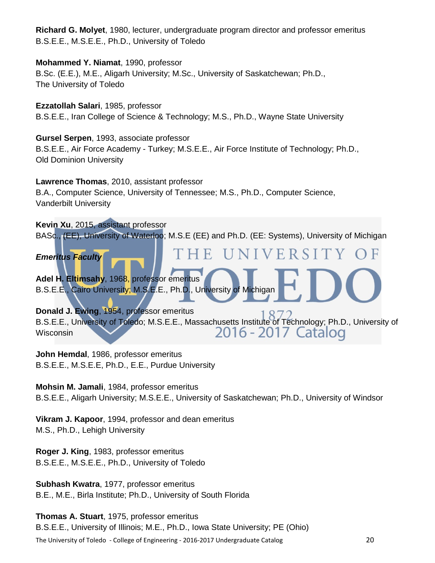**Richard G. Molyet**, 1980, lecturer, undergraduate program director and professor emeritus B.S.E.E., M.S.E.E., Ph.D., University of Toledo

### **Mohammed Y. Niamat**, 1990, professor

B.Sc. (E.E.), M.E., Aligarh University; M.Sc., University of Saskatchewan; Ph.D., The University of Toledo

**Ezzatollah Salari**, 1985, professor B.S.E.E., Iran College of Science & Technology; M.S., Ph.D., Wayne State University

### **Gursel Serpen**, 1993, associate professor

B.S.E.E., Air Force Academy - Turkey; M.S.E.E., Air Force Institute of Technology; Ph.D., Old Dominion University

#### **Lawrence Thomas**, 2010, assistant professor

B.A., Computer Science, University of Tennessee; M.S., Ph.D., Computer Science, Vanderbilt University

#### **Kevin Xu**, 2015, assistant professor

BASc., (EE), University of Waterloo; M.S.E (EE) and Ph.D. (EE: Systems), University of Michigan

NIVERSIT F. *Emeritus Faculty* 

**Adel H. Eltimsahy**, 1968, professor emeritus B.S.E.E., Cairo University; M.S.E.E., Ph.D., University of Michigan

**Donald J. Ewing**, 1954, professor emeritus

B.S.E.E., University of Toledo; M.S.E.E., Massachusetts Institute of Technology; Ph.D., University of 2016 - 2017 Catalog **Wisconsin** 

**John Hemdal**, 1986, professor emeritus B.S.E.E., M.S.E.E, Ph.D., E.E., Purdue University

**Mohsin M. Jamali**, 1984, professor emeritus B.S.E.E., Aligarh University; M.S.E.E., University of Saskatchewan; Ph.D., University of Windsor

**Vikram J. Kapoor**, 1994, professor and dean emeritus M.S., Ph.D., Lehigh University

**Roger J. King**, 1983, professor emeritus B.S.E.E., M.S.E.E., Ph.D., University of Toledo

**Subhash Kwatra**, 1977, professor emeritus B.E., M.E., Birla Institute; Ph.D., University of South Florida

The University of Toledo - College of Engineering - 2016-2017 Undergraduate Catalog 20 **Thomas A. Stuart**, 1975, professor emeritus B.S.E.E., University of Illinois; M.E., Ph.D., Iowa State University; PE (Ohio)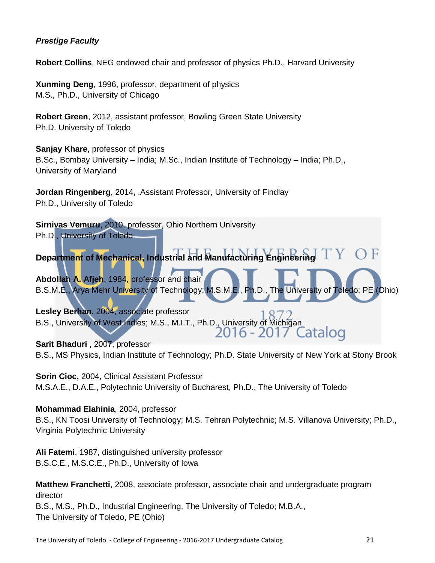### *Prestige Faculty*

**Robert Collins**, NEG endowed chair and professor of physics Ph.D., Harvard University

**Xunming Deng**, 1996, professor, department of physics M.S., Ph.D., University of Chicago

**Robert Green**, 2012, assistant professor, Bowling Green State University Ph.D. University of Toledo

**Sanjay Khare**, professor of physics B.Sc., Bombay University – India; M.Sc., Indian Institute of Technology – India; Ph.D., University of Maryland

**Jordan Ringenberg**, 2014, .Assistant Professor, University of Findlay Ph.D., University of Toledo

**Sirnivas Vemuru**, 2010, professor, Ohio Northern University Ph.D., University of Toledo

**Department of Mechanical, Industrial and Manufacturing Engineering** 

**Abdollah A. Afjeh**, 1984, professor and chair B.S.M.E., Arya Mehr University of Technology; M.S.M.E., Ph.D., The University of Toledo; PE (Ohio)

**Lesley Berhan**, 2004, associate professor B.S., University of West Indies; M.S., M.I.T., Ph.D., University of Michigan<br>2016 - 2017 Catalog

**Sarit Bhaduri** , 2007, professor B.S., MS Physics, Indian Institute of Technology; Ph.D. State University of New York at Stony Brook

**Sorin Cioc,** 2004, Clinical Assistant Professor M.S.A.E., D.A.E., Polytechnic University of Bucharest, Ph.D., The University of Toledo

#### **Mohammad Elahinia**, 2004, professor

B.S., KN Toosi University of Technology; M.S. Tehran Polytechnic; M.S. Villanova University; Ph.D., Virginia Polytechnic University

**Ali Fatemi**, 1987, distinguished university professor B.S.C.E., M.S.C.E., Ph.D., University of Iowa

**Matthew Franchetti**, 2008, associate professor, associate chair and undergraduate program director B.S., M.S., Ph.D., Industrial Engineering, The University of Toledo; M.B.A., The University of Toledo, PE (Ohio)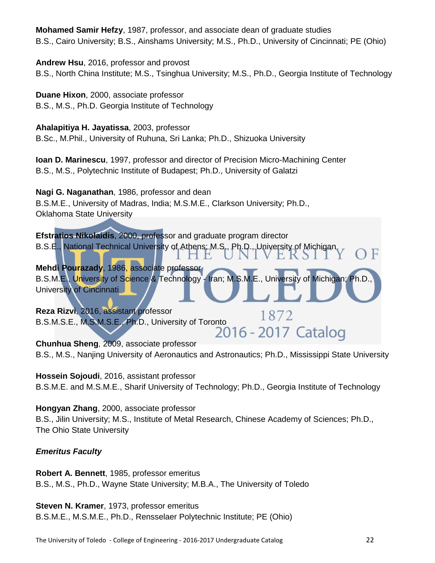**Mohamed Samir Hefzy**, 1987, professor, and associate dean of graduate studies B.S., Cairo University; B.S., Ainshams University; M.S., Ph.D., University of Cincinnati; PE (Ohio)

**Andrew Hsu**, 2016, professor and provost B.S., North China Institute; M.S., Tsinghua University; M.S., Ph.D., Georgia Institute of Technology

**Duane Hixon**, 2000, associate professor B.S., M.S., Ph.D. Georgia Institute of Technology

**Ahalapitiya H. Jayatissa**, 2003, professor

B.Sc., M.Phil., University of Ruhuna, Sri Lanka; Ph.D., Shizuoka University

**Ioan D. Marinescu**, 1997, professor and director of Precision Micro-Machining Center B.S., M.S., Polytechnic Institute of Budapest; Ph.D., University of Galatzi

**Nagi G. Naganathan**, 1986, professor and dean B.S.M.E., University of Madras, India; M.S.M.E., Clarkson University; Ph.D., Oklahoma State University

**Efstratios Nikolaidis**, 2000, professor and graduate program director B.S.E., National Technical University of Athens; M.S., Ph.D., University of Michigan E. E **Mehdi Pourazady**, 1986, associate professor B.S.M.E., University of Science & Technology - Iran; M.S.M.E., University of Michigan; Ph.D. University of Cincinnati **Reza Rizvi**, 2016, assistant professor 1872 B.S.M.S.E., M.S.M.S.E., Ph.D., University of Toronto 10/2<br>2016 - 2017 Catalog

**Chunhua Sheng**, 2009, associate professor B.S., M.S., Nanjing University of Aeronautics and Astronautics; Ph.D., Mississippi State University

**Hossein Sojoudi**, 2016, assistant professor B.S.M.E. and M.S.M.E., Sharif University of Technology; Ph.D., Georgia Institute of Technology

**Hongyan Zhang**, 2000, associate professor B.S., Jilin University; M.S., Institute of Metal Research, Chinese Academy of Sciences; Ph.D., The Ohio State University

### *Emeritus Faculty*

**Robert A. Bennett**, 1985, professor emeritus B.S., M.S., Ph.D., Wayne State University; M.B.A., The University of Toledo

**Steven N. Kramer**, 1973, professor emeritus B.S.M.E., M.S.M.E., Ph.D., Rensselaer Polytechnic Institute; PE (Ohio)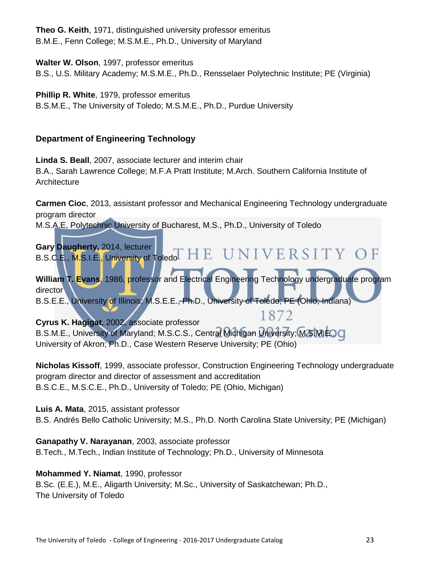**Theo G. Keith**, 1971, distinguished university professor emeritus B.M.E., Fenn College; M.S.M.E., Ph.D., University of Maryland

**Walter W. Olson**, 1997, professor emeritus

B.S., U.S. Military Academy; M.S.M.E., Ph.D., Rensselaer Polytechnic Institute; PE (Virginia)

**Phillip R. White**, 1979, professor emeritus

B.S.M.E., The University of Toledo; M.S.M.E., Ph.D., Purdue University

### **Department of Engineering Technology**

**Linda S. Beall**, 2007, associate lecturer and interim chair B.A., Sarah Lawrence College; M.F.A Pratt Institute; M.Arch. Southern California Institute of **Architecture** 

**Carmen Cioc**, 2013, assistant professor and Mechanical Engineering Technology undergraduate program director

M.S.A.E, Polytechnic University of Bucharest, M.S., Ph.D., University of Toledo



University of Akron; Ph.D., Case Western Reserve University; PE (Ohio)

**Nicholas Kissoff**, 1999, associate professor, Construction Engineering Technology undergraduate program director and director of assessment and accreditation B.S.C.E., M.S.C.E., Ph.D., University of Toledo; PE (Ohio, Michigan)

**Luis A. Mata**, 2015, assistant professor

B.S. Andrés Bello Catholic University; M.S., Ph.D. North Carolina State University; PE (Michigan)

**Ganapathy V. Narayanan**, 2003, associate professor B.Tech., M.Tech., Indian Institute of Technology; Ph.D., University of Minnesota

### **Mohammed Y. Niamat**, 1990, professor

B.Sc. (E.E.), M.E., Aligarth University; M.Sc., University of Saskatchewan; Ph.D., The University of Toledo